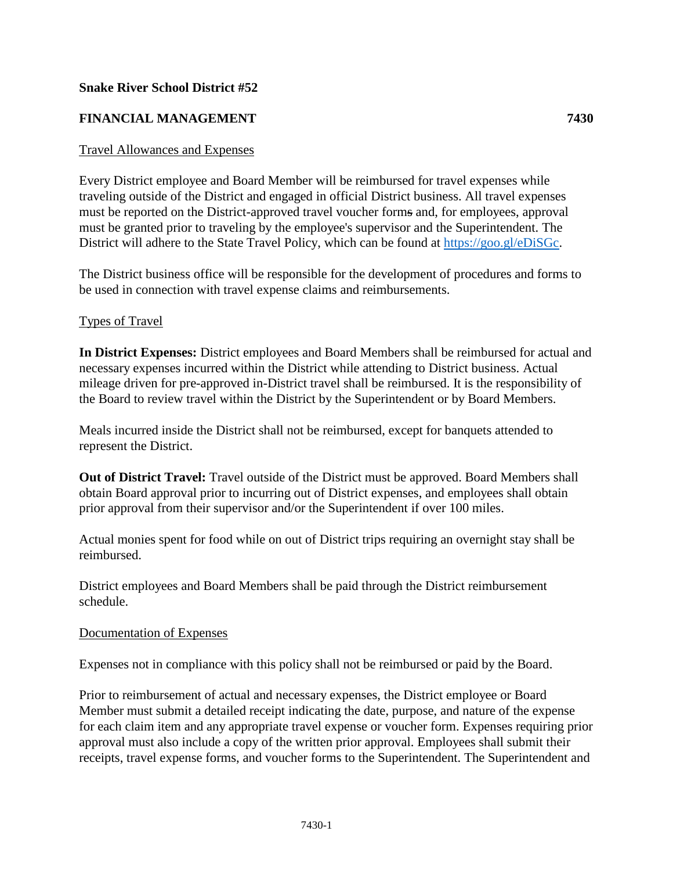### **Snake River School District #52**

# **FINANCIAL MANAGEMENT 7430**

### Travel Allowances and Expenses

Every District employee and Board Member will be reimbursed for travel expenses while traveling outside of the District and engaged in official District business. All travel expenses must be reported on the District-approved travel voucher forms and, for employees, approval must be granted prior to traveling by the employee's supervisor and the Superintendent. The District will adhere to the State Travel Policy, which can be found at [https://goo.gl/eDiSGc.](https://goo.gl/eDiSGc)

The District business office will be responsible for the development of procedures and forms to be used in connection with travel expense claims and reimbursements.

#### Types of Travel

**In District Expenses:** District employees and Board Members shall be reimbursed for actual and necessary expenses incurred within the District while attending to District business. Actual mileage driven for pre-approved in-District travel shall be reimbursed. It is the responsibility of the Board to review travel within the District by the Superintendent or by Board Members.

Meals incurred inside the District shall not be reimbursed, except for banquets attended to represent the District.

**Out of District Travel:** Travel outside of the District must be approved. Board Members shall obtain Board approval prior to incurring out of District expenses, and employees shall obtain prior approval from their supervisor and/or the Superintendent if over 100 miles.

Actual monies spent for food while on out of District trips requiring an overnight stay shall be reimbursed.

District employees and Board Members shall be paid through the District reimbursement schedule.

#### Documentation of Expenses

Expenses not in compliance with this policy shall not be reimbursed or paid by the Board.

Prior to reimbursement of actual and necessary expenses, the District employee or Board Member must submit a detailed receipt indicating the date, purpose, and nature of the expense for each claim item and any appropriate travel expense or voucher form. Expenses requiring prior approval must also include a copy of the written prior approval. Employees shall submit their receipts, travel expense forms, and voucher forms to the Superintendent. The Superintendent and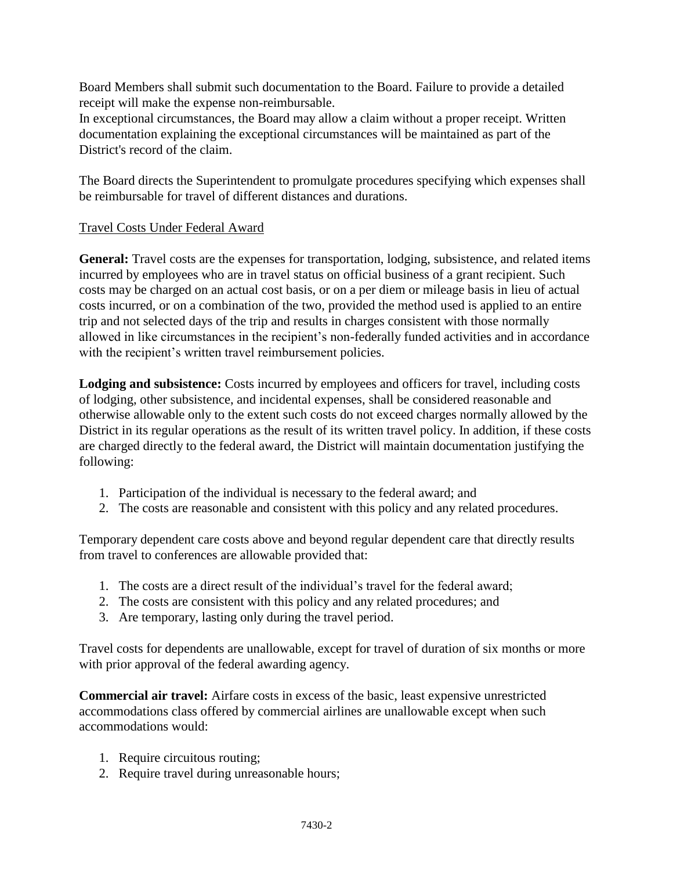Board Members shall submit such documentation to the Board. Failure to provide a detailed receipt will make the expense non-reimbursable.

In exceptional circumstances, the Board may allow a claim without a proper receipt. Written documentation explaining the exceptional circumstances will be maintained as part of the District's record of the claim.

The Board directs the Superintendent to promulgate procedures specifying which expenses shall be reimbursable for travel of different distances and durations.

## Travel Costs Under Federal Award

**General:** Travel costs are the expenses for transportation, lodging, subsistence, and related items incurred by employees who are in travel status on official business of a grant recipient. Such costs may be charged on an actual cost basis, or on a per diem or mileage basis in lieu of actual costs incurred, or on a combination of the two, provided the method used is applied to an entire trip and not selected days of the trip and results in charges consistent with those normally allowed in like circumstances in the recipient's non-federally funded activities and in accordance with the recipient's written travel reimbursement policies.

**Lodging and subsistence:** Costs incurred by employees and officers for travel, including costs of lodging, other subsistence, and incidental expenses, shall be considered reasonable and otherwise allowable only to the extent such costs do not exceed charges normally allowed by the District in its regular operations as the result of its written travel policy. In addition, if these costs are charged directly to the federal award, the District will maintain documentation justifying the following:

- 1. Participation of the individual is necessary to the federal award; and
- 2. The costs are reasonable and consistent with this policy and any related procedures.

Temporary dependent care costs above and beyond regular dependent care that directly results from travel to conferences are allowable provided that:

- 1. The costs are a direct result of the individual's travel for the federal award;
- 2. The costs are consistent with this policy and any related procedures; and
- 3. Are temporary, lasting only during the travel period.

Travel costs for dependents are unallowable, except for travel of duration of six months or more with prior approval of the federal awarding agency.

**Commercial air travel:** Airfare costs in excess of the basic, least expensive unrestricted accommodations class offered by commercial airlines are unallowable except when such accommodations would:

- 1. Require circuitous routing;
- 2. Require travel during unreasonable hours;